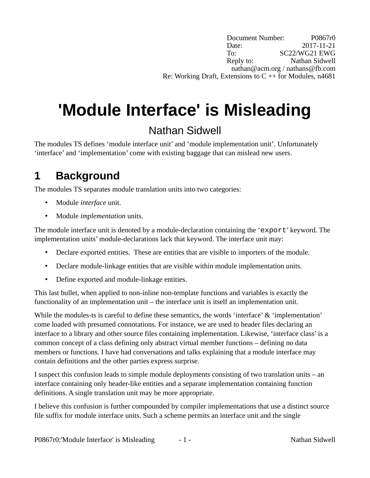Document Number: P0867r0 Date: 2017-11-21 To: SC22/WG21 EWG Reply to: Nathan Sidwell nathan@acm.org / nathans@fb.com Re: Working Draft, Extensions to  $C + \overline{f}$  for Modules, n4681

# **'Module Interface' is Misleading**

#### Nathan Sidwell

The modules TS defines 'module interface unit' and 'module implementation unit'. Unfortunately 'interface' and 'implementation' come with existing baggage that can mislead new users.

### **1 Background**

The modules TS separates module translation units into two categories:

- Module *interface* unit.
- Module *implementation* units.

The module interface unit is denoted by a module-declaration containing the 'export' keyword. The implementation units' module-declarations lack that keyword. The interface unit may:

- Declare exported entities. These are entities that are visible to importers of the module.
- Declare module-linkage entities that are visible within module implementation units.
- Define exported and module-linkage entities.

This last bullet, when applied to non-inline non-template functions and variables is exactly the functionality of an implementation unit – the interface unit is itself an implementation unit.

While the modules-ts is careful to define these semantics, the words 'interface' & 'implementation' come loaded with presumed connotations. For instance, we are used to header files declaring an interface to a library and other source files containing implementation. Likewise, 'interface class' is a common concept of a class defining only abstract virtual member functions – defining no data members or functions. I have had conversations and talks explaining that a module interface may contain definitions and the other parties express surprise.

I suspect this confusion leads to simple module deployments consisting of two translation units – an interface containing only header-like entities and a separate implementation containing function definitions. A single translation unit may be more appropriate.

I believe this confusion is further compounded by compiler implementations that use a distinct source file suffix for module interface units. Such a scheme permits an interface unit and the single